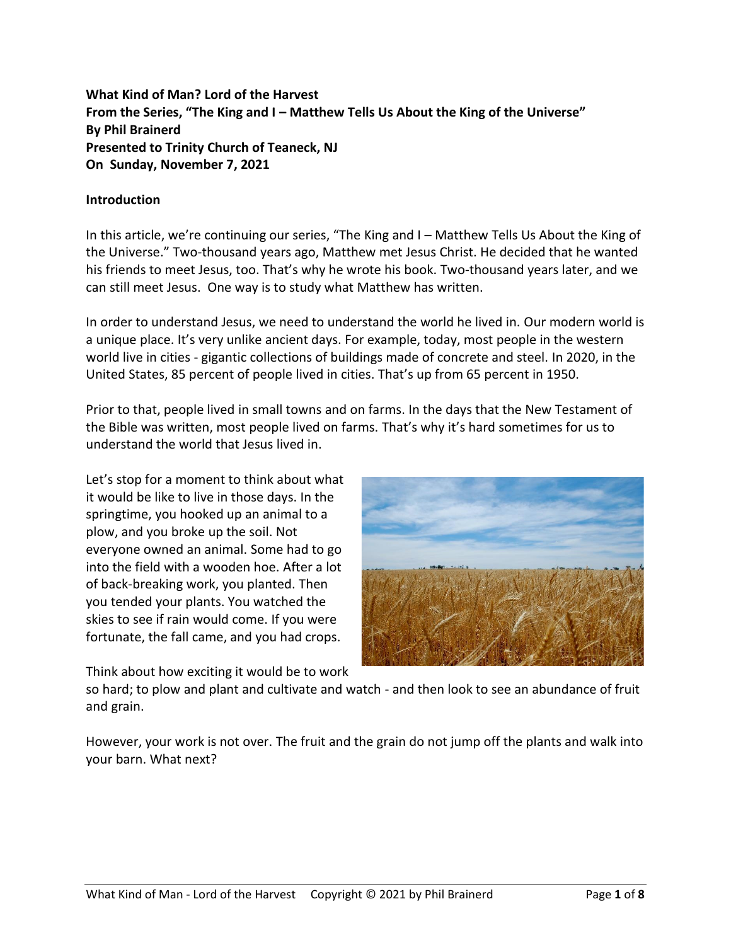**What Kind of Man? Lord of the Harvest From the Series, "The King and I – Matthew Tells Us About the King of the Universe" By Phil Brainerd Presented to Trinity Church of Teaneck, NJ On Sunday, November 7, 2021**

### **Introduction**

In this article, we're continuing our series, "The King and I – Matthew Tells Us About the King of the Universe." Two-thousand years ago, Matthew met Jesus Christ. He decided that he wanted his friends to meet Jesus, too. That's why he wrote his book. Two-thousand years later, and we can still meet Jesus. One way is to study what Matthew has written.

In order to understand Jesus, we need to understand the world he lived in. Our modern world is a unique place. It's very unlike ancient days. For example, today, most people in the western world live in cities - gigantic collections of buildings made of concrete and steel. In 2020, in the United States, 85 percent of people lived in cities. That's up from 65 percent in 1950.

Prior to that, people lived in small towns and on farms. In the days that the New Testament of the Bible was written, most people lived on farms. That's why it's hard sometimes for us to understand the world that Jesus lived in.

Let's stop for a moment to think about what it would be like to live in those days. In the springtime, you hooked up an animal to a plow, and you broke up the soil. Not everyone owned an animal. Some had to go into the field with a wooden hoe. After a lot of back-breaking work, you planted. Then you tended your plants. You watched the skies to see if rain would come. If you were fortunate, the fall came, and you had crops.



Think about how exciting it would be to work

so hard; to plow and plant and cultivate and watch - and then look to see an abundance of fruit and grain.

However, your work is not over. The fruit and the grain do not jump off the plants and walk into your barn. What next?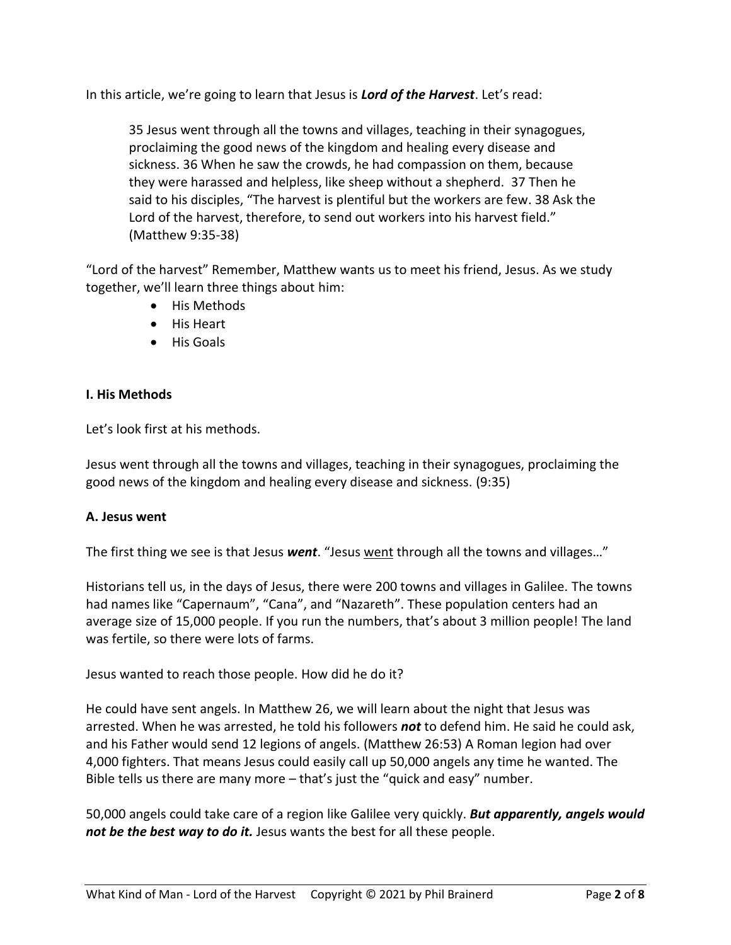In this article, we're going to learn that Jesus is *Lord of the Harvest*. Let's read:

35 Jesus went through all the towns and villages, teaching in their synagogues, proclaiming the good news of the kingdom and healing every disease and sickness. 36 When he saw the crowds, he had compassion on them, because they were harassed and helpless, like sheep without a shepherd. 37 Then he said to his disciples, "The harvest is plentiful but the workers are few. 38 Ask the Lord of the harvest, therefore, to send out workers into his harvest field." (Matthew 9:35-38)

"Lord of the harvest" Remember, Matthew wants us to meet his friend, Jesus. As we study together, we'll learn three things about him:

- His Methods
- His Heart
- His Goals

# **I. His Methods**

Let's look first at his methods.

Jesus went through all the towns and villages, teaching in their synagogues, proclaiming the good news of the kingdom and healing every disease and sickness. (9:35)

#### **A. Jesus went**

The first thing we see is that Jesus *went*. "Jesus went through all the towns and villages…"

Historians tell us, in the days of Jesus, there were 200 towns and villages in Galilee. The towns had names like "Capernaum", "Cana", and "Nazareth". These population centers had an average size of 15,000 people. If you run the numbers, that's about 3 million people! The land was fertile, so there were lots of farms.

Jesus wanted to reach those people. How did he do it?

He could have sent angels. In Matthew 26, we will learn about the night that Jesus was arrested. When he was arrested, he told his followers *not* to defend him. He said he could ask, and his Father would send 12 legions of angels. (Matthew 26:53) A Roman legion had over 4,000 fighters. That means Jesus could easily call up 50,000 angels any time he wanted. The Bible tells us there are many more – that's just the "quick and easy" number.

50,000 angels could take care of a region like Galilee very quickly. *But apparently, angels would not be the best way to do it.* Jesus wants the best for all these people.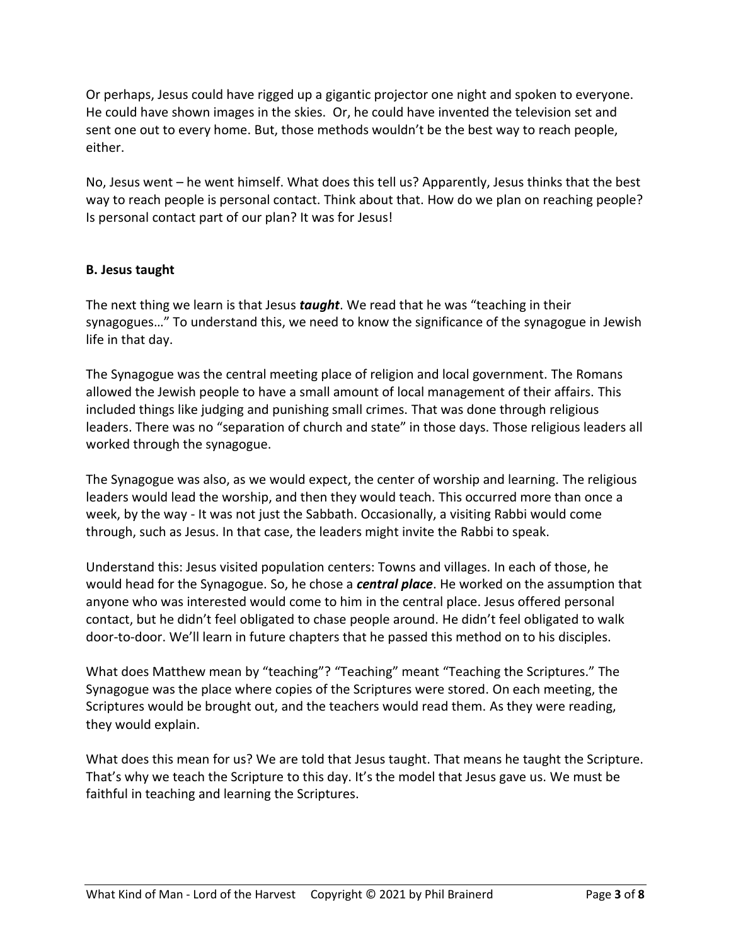Or perhaps, Jesus could have rigged up a gigantic projector one night and spoken to everyone. He could have shown images in the skies. Or, he could have invented the television set and sent one out to every home. But, those methods wouldn't be the best way to reach people, either.

No, Jesus went – he went himself. What does this tell us? Apparently, Jesus thinks that the best way to reach people is personal contact. Think about that. How do we plan on reaching people? Is personal contact part of our plan? It was for Jesus!

# **B. Jesus taught**

The next thing we learn is that Jesus *taught*. We read that he was "teaching in their synagogues…" To understand this, we need to know the significance of the synagogue in Jewish life in that day.

The Synagogue was the central meeting place of religion and local government. The Romans allowed the Jewish people to have a small amount of local management of their affairs. This included things like judging and punishing small crimes. That was done through religious leaders. There was no "separation of church and state" in those days. Those religious leaders all worked through the synagogue.

The Synagogue was also, as we would expect, the center of worship and learning. The religious leaders would lead the worship, and then they would teach. This occurred more than once a week, by the way - It was not just the Sabbath. Occasionally, a visiting Rabbi would come through, such as Jesus. In that case, the leaders might invite the Rabbi to speak.

Understand this: Jesus visited population centers: Towns and villages. In each of those, he would head for the Synagogue. So, he chose a *central place*. He worked on the assumption that anyone who was interested would come to him in the central place. Jesus offered personal contact, but he didn't feel obligated to chase people around. He didn't feel obligated to walk door-to-door. We'll learn in future chapters that he passed this method on to his disciples.

What does Matthew mean by "teaching"? "Teaching" meant "Teaching the Scriptures." The Synagogue was the place where copies of the Scriptures were stored. On each meeting, the Scriptures would be brought out, and the teachers would read them. As they were reading, they would explain.

What does this mean for us? We are told that Jesus taught. That means he taught the Scripture. That's why we teach the Scripture to this day. It's the model that Jesus gave us. We must be faithful in teaching and learning the Scriptures.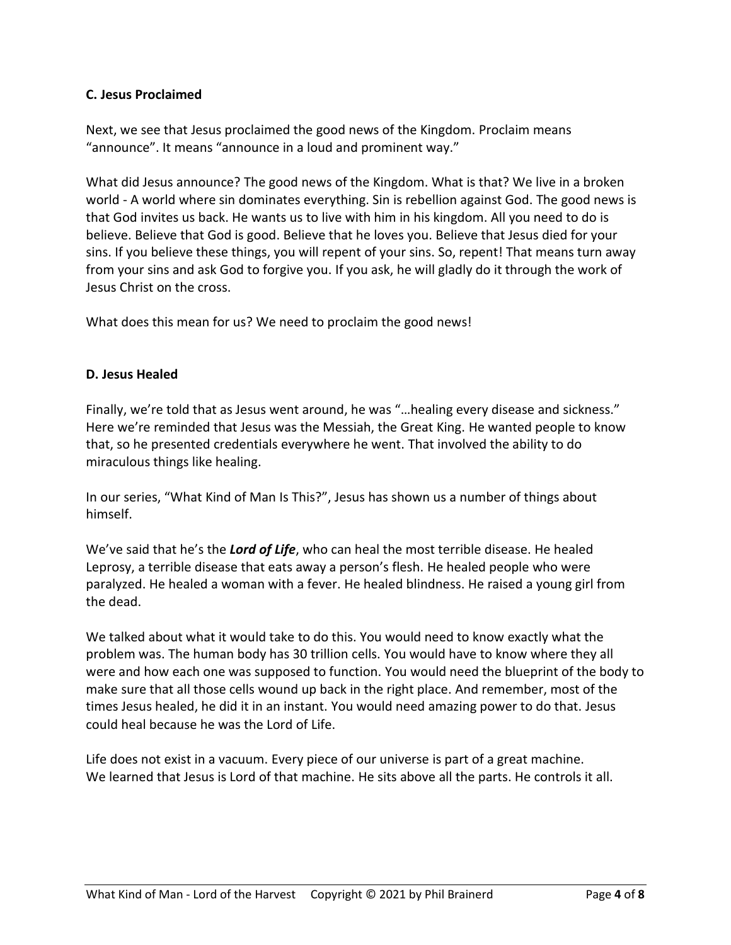## **C. Jesus Proclaimed**

Next, we see that Jesus proclaimed the good news of the Kingdom. Proclaim means "announce". It means "announce in a loud and prominent way."

What did Jesus announce? The good news of the Kingdom. What is that? We live in a broken world - A world where sin dominates everything. Sin is rebellion against God. The good news is that God invites us back. He wants us to live with him in his kingdom. All you need to do is believe. Believe that God is good. Believe that he loves you. Believe that Jesus died for your sins. If you believe these things, you will repent of your sins. So, repent! That means turn away from your sins and ask God to forgive you. If you ask, he will gladly do it through the work of Jesus Christ on the cross.

What does this mean for us? We need to proclaim the good news!

#### **D. Jesus Healed**

Finally, we're told that as Jesus went around, he was "…healing every disease and sickness." Here we're reminded that Jesus was the Messiah, the Great King. He wanted people to know that, so he presented credentials everywhere he went. That involved the ability to do miraculous things like healing.

In our series, "What Kind of Man Is This?", Jesus has shown us a number of things about himself.

We've said that he's the *Lord of Life*, who can heal the most terrible disease. He healed Leprosy, a terrible disease that eats away a person's flesh. He healed people who were paralyzed. He healed a woman with a fever. He healed blindness. He raised a young girl from the dead.

We talked about what it would take to do this. You would need to know exactly what the problem was. The human body has 30 trillion cells. You would have to know where they all were and how each one was supposed to function. You would need the blueprint of the body to make sure that all those cells wound up back in the right place. And remember, most of the times Jesus healed, he did it in an instant. You would need amazing power to do that. Jesus could heal because he was the Lord of Life.

Life does not exist in a vacuum. Every piece of our universe is part of a great machine. We learned that Jesus is Lord of that machine. He sits above all the parts. He controls it all.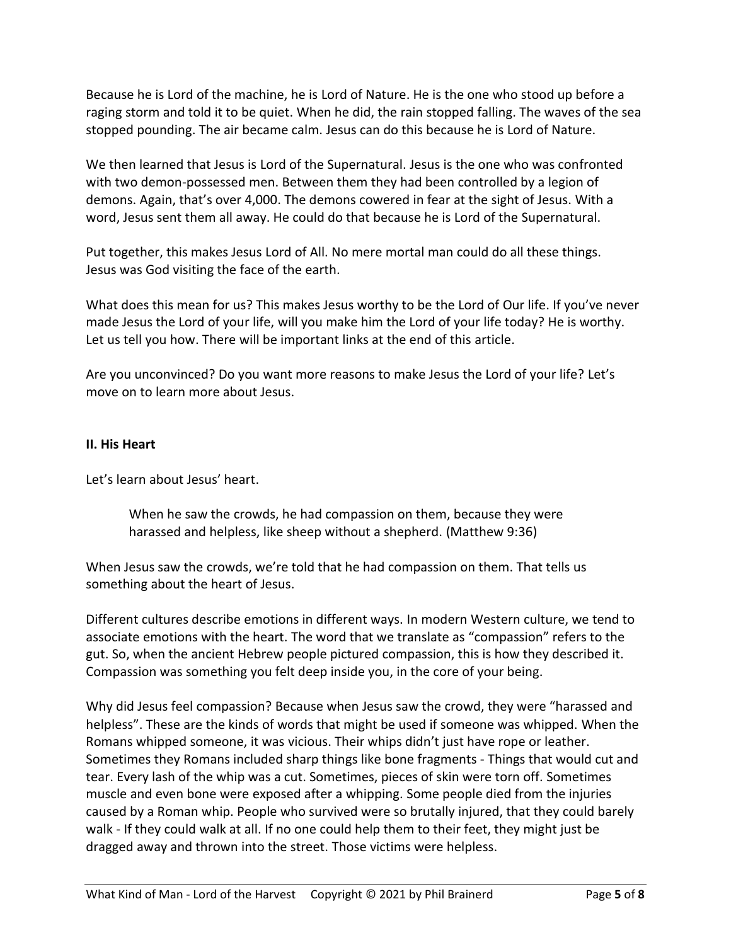Because he is Lord of the machine, he is Lord of Nature. He is the one who stood up before a raging storm and told it to be quiet. When he did, the rain stopped falling. The waves of the sea stopped pounding. The air became calm. Jesus can do this because he is Lord of Nature.

We then learned that Jesus is Lord of the Supernatural. Jesus is the one who was confronted with two demon-possessed men. Between them they had been controlled by a legion of demons. Again, that's over 4,000. The demons cowered in fear at the sight of Jesus. With a word, Jesus sent them all away. He could do that because he is Lord of the Supernatural.

Put together, this makes Jesus Lord of All. No mere mortal man could do all these things. Jesus was God visiting the face of the earth.

What does this mean for us? This makes Jesus worthy to be the Lord of Our life. If you've never made Jesus the Lord of your life, will you make him the Lord of your life today? He is worthy. Let us tell you how. There will be important links at the end of this article.

Are you unconvinced? Do you want more reasons to make Jesus the Lord of your life? Let's move on to learn more about Jesus.

## **II. His Heart**

Let's learn about Jesus' heart.

When he saw the crowds, he had compassion on them, because they were harassed and helpless, like sheep without a shepherd. (Matthew 9:36)

When Jesus saw the crowds, we're told that he had compassion on them. That tells us something about the heart of Jesus.

Different cultures describe emotions in different ways. In modern Western culture, we tend to associate emotions with the heart. The word that we translate as "compassion" refers to the gut. So, when the ancient Hebrew people pictured compassion, this is how they described it. Compassion was something you felt deep inside you, in the core of your being.

Why did Jesus feel compassion? Because when Jesus saw the crowd, they were "harassed and helpless". These are the kinds of words that might be used if someone was whipped. When the Romans whipped someone, it was vicious. Their whips didn't just have rope or leather. Sometimes they Romans included sharp things like bone fragments - Things that would cut and tear. Every lash of the whip was a cut. Sometimes, pieces of skin were torn off. Sometimes muscle and even bone were exposed after a whipping. Some people died from the injuries caused by a Roman whip. People who survived were so brutally injured, that they could barely walk - If they could walk at all. If no one could help them to their feet, they might just be dragged away and thrown into the street. Those victims were helpless.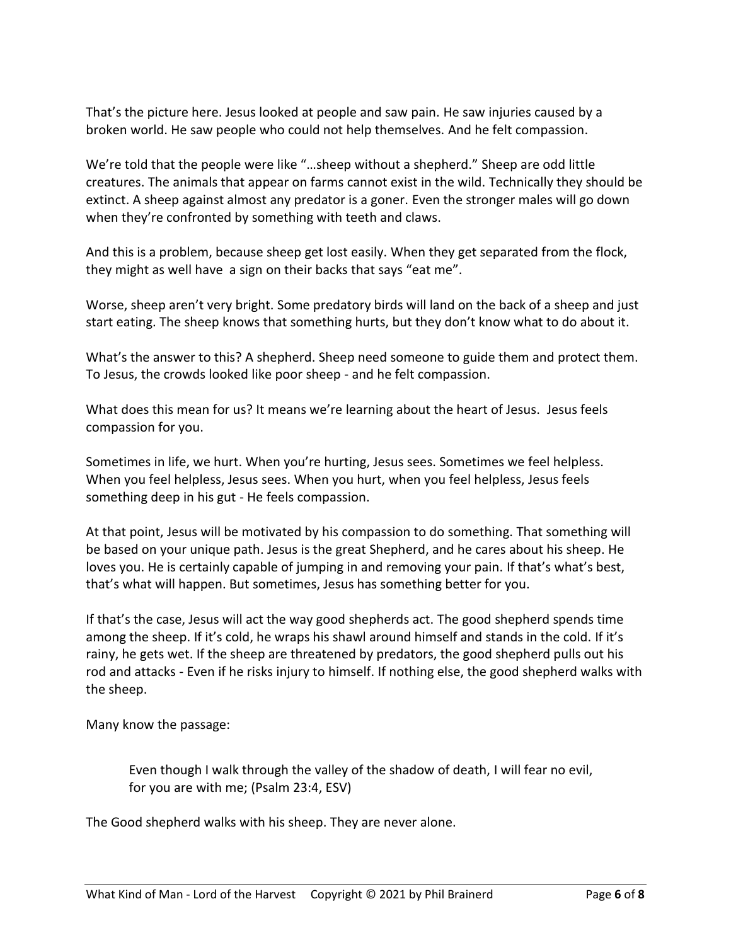That's the picture here. Jesus looked at people and saw pain. He saw injuries caused by a broken world. He saw people who could not help themselves. And he felt compassion.

We're told that the people were like "…sheep without a shepherd." Sheep are odd little creatures. The animals that appear on farms cannot exist in the wild. Technically they should be extinct. A sheep against almost any predator is a goner. Even the stronger males will go down when they're confronted by something with teeth and claws.

And this is a problem, because sheep get lost easily. When they get separated from the flock, they might as well have a sign on their backs that says "eat me".

Worse, sheep aren't very bright. Some predatory birds will land on the back of a sheep and just start eating. The sheep knows that something hurts, but they don't know what to do about it.

What's the answer to this? A shepherd. Sheep need someone to guide them and protect them. To Jesus, the crowds looked like poor sheep - and he felt compassion.

What does this mean for us? It means we're learning about the heart of Jesus. Jesus feels compassion for you.

Sometimes in life, we hurt. When you're hurting, Jesus sees. Sometimes we feel helpless. When you feel helpless, Jesus sees. When you hurt, when you feel helpless, Jesus feels something deep in his gut - He feels compassion.

At that point, Jesus will be motivated by his compassion to do something. That something will be based on your unique path. Jesus is the great Shepherd, and he cares about his sheep. He loves you. He is certainly capable of jumping in and removing your pain. If that's what's best, that's what will happen. But sometimes, Jesus has something better for you.

If that's the case, Jesus will act the way good shepherds act. The good shepherd spends time among the sheep. If it's cold, he wraps his shawl around himself and stands in the cold. If it's rainy, he gets wet. If the sheep are threatened by predators, the good shepherd pulls out his rod and attacks - Even if he risks injury to himself. If nothing else, the good shepherd walks with the sheep.

Many know the passage:

Even though I walk through the valley of the shadow of death, I will fear no evil, for you are with me; (Psalm 23:4, ESV)

The Good shepherd walks with his sheep. They are never alone.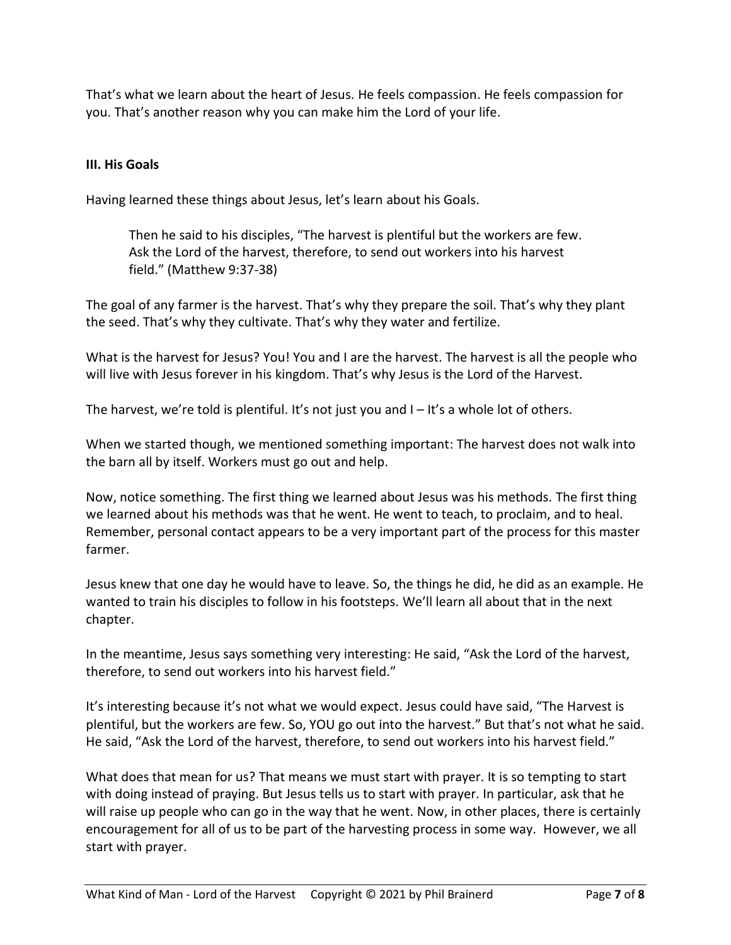That's what we learn about the heart of Jesus. He feels compassion. He feels compassion for you. That's another reason why you can make him the Lord of your life.

# **III. His Goals**

Having learned these things about Jesus, let's learn about his Goals.

Then he said to his disciples, "The harvest is plentiful but the workers are few. Ask the Lord of the harvest, therefore, to send out workers into his harvest field." (Matthew 9:37-38)

The goal of any farmer is the harvest. That's why they prepare the soil. That's why they plant the seed. That's why they cultivate. That's why they water and fertilize.

What is the harvest for Jesus? You! You and I are the harvest. The harvest is all the people who will live with Jesus forever in his kingdom. That's why Jesus is the Lord of the Harvest.

The harvest, we're told is plentiful. It's not just you and  $I - It's$  a whole lot of others.

When we started though, we mentioned something important: The harvest does not walk into the barn all by itself. Workers must go out and help.

Now, notice something. The first thing we learned about Jesus was his methods. The first thing we learned about his methods was that he went. He went to teach, to proclaim, and to heal. Remember, personal contact appears to be a very important part of the process for this master farmer.

Jesus knew that one day he would have to leave. So, the things he did, he did as an example. He wanted to train his disciples to follow in his footsteps. We'll learn all about that in the next chapter.

In the meantime, Jesus says something very interesting: He said, "Ask the Lord of the harvest, therefore, to send out workers into his harvest field."

It's interesting because it's not what we would expect. Jesus could have said, "The Harvest is plentiful, but the workers are few. So, YOU go out into the harvest." But that's not what he said. He said, "Ask the Lord of the harvest, therefore, to send out workers into his harvest field."

What does that mean for us? That means we must start with prayer. It is so tempting to start with doing instead of praying. But Jesus tells us to start with prayer. In particular, ask that he will raise up people who can go in the way that he went. Now, in other places, there is certainly encouragement for all of us to be part of the harvesting process in some way. However, we all start with prayer.